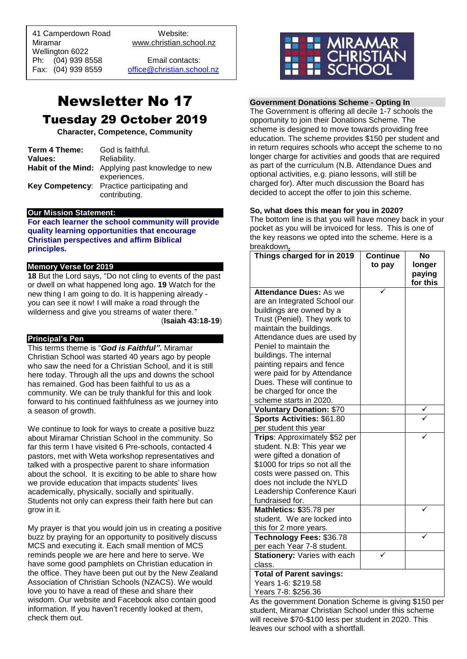41 Camperdown Road Website:<br>Miramar Www.christian.sc Wellington 6022 Ph: (04) 939 8558 Email contacts:

 $\overline{a}$ 

www.christian.school.nz

Fax: (04) 939 8559 [office@christian.school.nz](mailto:office@christian.school.nz)

# Newsletter No 17 Tuesday 29 October 2019

**Character, Competence, Community**

| Term 4 Theme: | God is faithful.                                  |
|---------------|---------------------------------------------------|
| Values:       | Reliability.                                      |
|               | Habit of the Mind: Applying past knowledge to new |
|               | experiences.                                      |
|               | Key Competency: Practice participating and        |
|               | contributing.                                     |

# **Our Mission Statement:**

**For each learner the school community will provide quality learning opportunities that encourage Christian perspectives and affirm Biblical principles***.*

# **Memory Verse for 2019**

**18** But the Lord says, "Do not cling to events of the past or dwell on what happened long ago. **19** Watch for the new thing I am going to do. It is happening already you can see it now! I will make a road through the wilderness and give you streams of water there*."*

(**Isaiah 43:18-19**)

# **Principal's Pen**

This terms theme is "*God is Faithful".* Miramar Christian School was started 40 years ago by people who saw the need for a Christian School, and it is still here today. Through all the ups and downs the school has remained. God has been faithful to us as a community. We can be truly thankful for this and look forward to his continued faithfulness as we journey into a season of growth.

We continue to look for ways to create a positive buzz about Miramar Christian School in the community. So far this term I have visited 6 Pre-schools, contacted 4 pastors, met with Weta workshop representatives and talked with a prospective parent to share information about the school. It is exciting to be able to share how we provide education that impacts students' lives academically, physically, socially and spiritually. Students not only can express their faith here but can grow in it.

My prayer is that you would join us in creating a positive buzz by praying for an opportunity to positively discuss MCS and executing it. Each small mention of MCS reminds people we are here and here to serve. We have some good pamphlets on Christian education in the office. They have been put out by the New Zealand Association of Christian Schools (NZACS). We would love you to have a read of these and share their wisdom. Our website and Facebook also contain good information. If you haven't recently looked at them, check them out.



# **Government Donations Scheme - Opting In**

The Government is offering all decile 1-7 schools the opportunity to join their Donations Scheme. The scheme is designed to move towards providing free education. The scheme provides \$150 per student and in return requires schools who accept the scheme to no longer charge for activities and goods that are required as part of the curriculum (N.B. Attendance Dues and optional activities, e.g. piano lessons, will still be charged for). After much discussion the Board has decided to accept the offer to join this scheme.

# **So, what does this mean for you in 2020?**

The bottom line is that you will have money back in your pocket as you will be invoiced for less. This is one of the key reasons we opted into the scheme. Here is a breakdown**.**

| Things charged for in 2019                              | <b>Continue</b> | <b>No</b> |
|---------------------------------------------------------|-----------------|-----------|
|                                                         | to pay          | longer    |
|                                                         |                 | paying    |
|                                                         |                 | for this  |
| <b>Attendance Dues: As we</b>                           |                 |           |
| are an Integrated School our                            |                 |           |
| buildings are owned by a                                |                 |           |
| Trust (Peniel). They work to<br>maintain the buildings. |                 |           |
| Attendance dues are used by                             |                 |           |
| Peniel to maintain the                                  |                 |           |
| buildings. The internal                                 |                 |           |
| painting repairs and fence                              |                 |           |
| were paid for by Attendance                             |                 |           |
| Dues. These will continue to                            |                 |           |
| be charged for once the                                 |                 |           |
| scheme starts in 2020.                                  |                 |           |
| <b>Voluntary Donation: \$70</b>                         |                 |           |
| Sports Activities: \$61.80                              |                 |           |
| per student this year                                   |                 |           |
| Trips: Approximately \$52 per                           |                 |           |
| student. N.B: This year we                              |                 |           |
| were gifted a donation of                               |                 |           |
| \$1000 for trips so not all the                         |                 |           |
| costs were passed on. This                              |                 |           |
| does not include the NYLD                               |                 |           |
| Leadership Conference Kauri                             |                 |           |
| fundraised for.                                         |                 |           |
| Mathletics: \$35.78 per                                 |                 |           |
| student. We are locked into                             |                 |           |
| this for 2 more years.                                  |                 |           |
| Technology Fees: \$36.78                                |                 |           |
| per each Year 7-8 student.                              |                 |           |
| Stationery: Varies with each                            |                 |           |
| class.                                                  |                 |           |
| <b>Total of Parent savings:</b>                         |                 |           |
| Years 1-6: \$219.58                                     |                 |           |
| Years 7-8: \$256.36                                     |                 |           |

As the government Donation Scheme is giving \$150 per student, Miramar Christian School under this scheme will receive \$70-\$100 less per student in 2020. This leaves our school with a shortfall.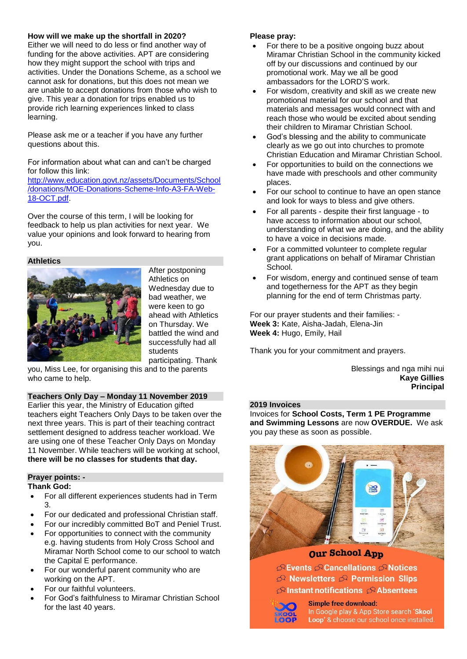# **How will we make up the shortfall in 2020?**

Either we will need to do less or find another way of funding for the above activities. APT are considering how they might support the school with trips and activities. Under the Donations Scheme, as a school we cannot ask for donations, but this does not mean we are unable to accept donations from those who wish to give. This year a donation for trips enabled us to provide rich learning experiences linked to class learning.

Please ask me or a teacher if you have any further questions about this.

For information about what can and can't be charged for follow this link:

[http://www.education.govt.nz/assets/Documents/School](http://www.education.govt.nz/assets/Documents/School/donations/MOE-Donations-Scheme-Info-A3-FA-Web-18-OCT.pdf) [/donations/MOE-Donations-Scheme-Info-A3-FA-Web-](http://www.education.govt.nz/assets/Documents/School/donations/MOE-Donations-Scheme-Info-A3-FA-Web-18-OCT.pdf)[18-OCT.pdf.](http://www.education.govt.nz/assets/Documents/School/donations/MOE-Donations-Scheme-Info-A3-FA-Web-18-OCT.pdf)

Over the course of this term, I will be looking for feedback to help us plan activities for next year. We value your opinions and look forward to hearing from you.

# **Athletics**



After postponing Athletics on Wednesday due to bad weather, we were keen to go ahead with Athletics on Thursday. We battled the wind and successfully had all students participating. Thank

you, Miss Lee, for organising this and to the parents who came to help.

**Teachers Only Day – Monday 11 November 2019**

Earlier this year, the Ministry of Education gifted teachers eight Teachers Only Days to be taken over the next three years. This is part of their teaching contract settlement designed to address teacher workload. We are using one of these Teacher Only Days on Monday 11 November. While teachers will be working at school, **there will be no classes for students that day.**

# **Prayer points: -**

**Thank God:** 

- For all different experiences students had in Term 3.
- For our dedicated and professional Christian staff.
- For our incredibly committed BoT and Peniel Trust.
- For opportunities to connect with the community e.g. having students from Holy Cross School and Miramar North School come to our school to watch the Capital E performance.
- For our wonderful parent community who are working on the APT.
- For our faithful volunteers.
- For God's faithfulness to Miramar Christian School for the last 40 years.

# **Please pray:**

- For there to be a positive ongoing buzz about Miramar Christian School in the community kicked off by our discussions and continued by our promotional work. May we all be good ambassadors for the LORD'S work.
- For wisdom, creativity and skill as we create new promotional material for our school and that materials and messages would connect with and reach those who would be excited about sending their children to Miramar Christian School.
- God's blessing and the ability to communicate clearly as we go out into churches to promote Christian Education and Miramar Christian School.
- For opportunities to build on the connections we have made with preschools and other community places.
- For our school to continue to have an open stance and look for ways to bless and give others.
- For all parents despite their first language to have access to information about our school, understanding of what we are doing, and the ability to have a voice in decisions made.
- For a committed volunteer to complete regular grant applications on behalf of Miramar Christian School.
- For wisdom, energy and continued sense of team and togetherness for the APT as they begin planning for the end of term Christmas party.

For our prayer students and their families: - **Week 3:** Kate, Aisha-Jadah, Elena-Jin **Week 4:** Hugo, Emily, Hail

Thank you for your commitment and prayers.

Blessings and nga mihi nui **Kaye Gillies Principal**

# **2019 Invoices**

Invoices for **School Costs, Term 1 PE Programme and Swimming Lessons** are now **OVERDUE.** We ask you pay these as soon as possible.



 $\curvearrowright$  Events  $\curvearrowright$  Cancellations  $\curvearrowright$  Notices  $\curvearrowright$  Newsletters  $\curvearrowright$  Permission Slips  $\mathfrak{S}$  Instant notifications  $\mathfrak{S}$  Absentees



**Simple free download:** 

In Google play & App Store search 'Skool Loop' & choose our school once installed.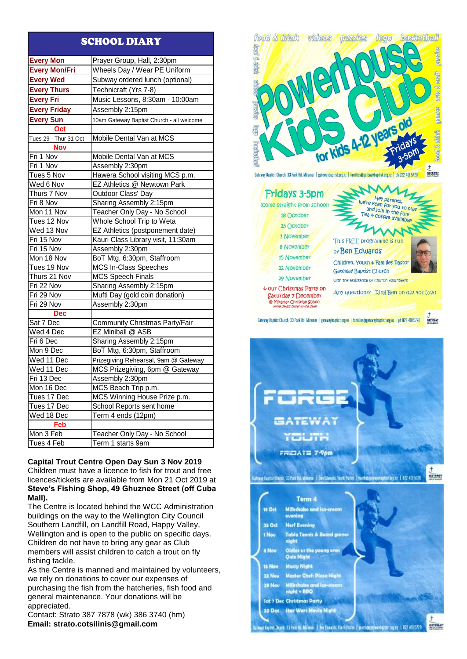# SCHOOL DIARY

| <b>Every Mon</b>      | Prayer Group, Hall, 2:30pm                |  |
|-----------------------|-------------------------------------------|--|
| <b>Every Mon/Fri</b>  | Wheels Day / Wear PE Uniform              |  |
| <b>Every Wed</b>      | Subway ordered lunch (optional)           |  |
| <b>Every Thurs</b>    | Technicraft (Yrs 7-8)                     |  |
| <b>Every Fri</b>      | Music Lessons, 8:30am - 10:00am           |  |
| <b>Every Friday</b>   | Assembly 2:15pm                           |  |
| <b>Every Sun</b>      | 10am Gateway Baptist Church - all welcome |  |
| Oct                   |                                           |  |
| Tues 29 - Thur 31 Oct | Mobile Dental Van at MCS                  |  |
| <b>Nov</b>            |                                           |  |
| Fri 1 Nov             | Mobile Dental Van at MCS                  |  |
| Fri 1 Nov             | Assembly 2:30pm                           |  |
| Tues 5 Nov            | Hawera School visiting MCS p.m.           |  |
| Wed 6 Nov             | EZ Athletics @ Newtown Park               |  |
| Thurs 7 Nov           | Outdoor Class' Day                        |  |
| Fri 8 Nov             | Sharing Assembly 2:15pm                   |  |
| Mon 11 Nov            | Teacher Only Day - No School              |  |
| Tues 12 Nov           | Whole School Trip to Weta                 |  |
| Wed 13 Nov            | EZ Athletics (postponement date)          |  |
| Fri 15 Nov            | Kauri Class Library visit, 11:30am        |  |
| Fri 15 Nov            | Assembly 2:30pm                           |  |
| Mon 18 Nov            | BoT Mtg, 6:30pm, Staffroom                |  |
| Tues 19 Nov           | <b>MCS In-Class Speeches</b>              |  |
| Thurs 21 Nov          | <b>MCS Speech Finals</b>                  |  |
| Fri 22 Nov            | Sharing Assembly 2:15pm                   |  |
| Fri 29 Nov            | Mufti Day (gold coin donation)            |  |
| Fri 29 Nov            | Assembly 2:30pm                           |  |
| <b>Dec</b>            |                                           |  |
| Sat 7 Dec             | Community Christmas Party/Fair            |  |
| Wed 4 Dec             | EZ Miniball @ ASB                         |  |
| Fri 6 Dec             | Sharing Assembly 2:15pm                   |  |
| Mon 9 Dec             | BoT Mtg, 6:30pm, Staffroom                |  |
| Wed 11 Dec            | Prizegiving Rehearsal, 9am @ Gateway      |  |
| Wed 11 Dec            | MCS Prizegiving, 6pm @ Gateway            |  |
| Fri 13 Dec            | Assembly 2:30pm                           |  |
| Mon 16 Dec            | MCS Beach Trip p.m.                       |  |
| Tues 17 Dec           | MCS Winning House Prize p.m.              |  |
| Tues 17 Dec           | School Reports sent home                  |  |
| Wed 18 Dec            | Term 4 ends (12pm)                        |  |
| Feb                   |                                           |  |
| Mon 3 Feb             | Teacher Only Day - No School              |  |
| Tues 4 Feb            | Term 1 starts 9am                         |  |

# **Capital Trout Centre Open Day Sun 3 Nov 2019** Children must have a licence to fish for trout and free licences/tickets are available from Mon 21 Oct 2019 at **Steve's Fishing Shop, 49 Ghuznee Street (off Cuba Mall).**

The Centre is located behind the WCC Administration buildings on the way to the Wellington City Council Southern Landfill, on Landfill Road, Happy Valley, Wellington and is open to the public on specific days. Children do not have to bring any gear as Club members will assist children to catch a trout on fly fishing tackle.

As the Centre is manned and maintained by volunteers, we rely on donations to cover our expenses of purchasing the fish from the hatcheries, fish food and general maintenance. Your donations will be appreciated.

Contact: Strato 387 7878 (wk) 386 3740 (hm) **Email: [strato.cotsilinis@gmail.com](mailto:strato.cotsilinis@gmail.com)**



| Fridays 3-5pm                                                                                                      | Hey parents,                                                                                                                            |
|--------------------------------------------------------------------------------------------------------------------|-----------------------------------------------------------------------------------------------------------------------------------------|
| (Come straight from school)                                                                                        | we're keen for you to stay                                                                                                              |
| 18 October                                                                                                         | and join in the fun!<br>Tea + coffee available!                                                                                         |
| 25 October                                                                                                         | $\mathcal{I}_{\mathcal{H}}$                                                                                                             |
| 1 November                                                                                                         |                                                                                                                                         |
| <b>8 November</b>                                                                                                  | This FREE programme is run<br>by Ben Edwards                                                                                            |
| <b>15 November</b>                                                                                                 |                                                                                                                                         |
| 22 November                                                                                                        | Children, Youth & Families Pastor<br><b>Gateway Baptist Church</b>                                                                      |
| 29 November                                                                                                        | with the assistance of church volunteers                                                                                                |
| + our Christmas Party on<br>Saturday 7 December<br>@ Miramar Christian School<br>(more decails Closer to the date) | Any questions? Ring Ben on 022 401 5720                                                                                                 |
|                                                                                                                    | ateway Baptist Church, 33 Park Rd, Miramar   gatewaybaptist.org.nz   families@gatewaybaptist.org.nz   ph 022 401 5720<br><b>GATEWAY</b> |



ay fayini (hazi: 33 Pak Rd. Milana ...). Dei Chazik: Yuth Parce. I. yuth@gd9koshapik: argaç. 1.022 401.5720

CATEWAY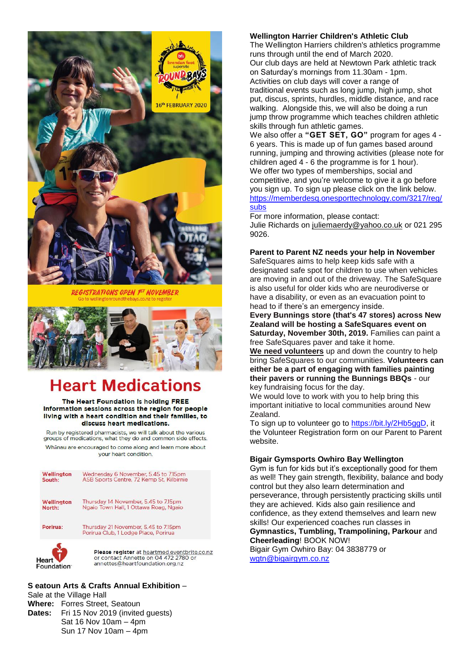

**ISTRATIONS OPEN FT NOVEMBER** 



# **Heart Medications**

### The Heart Foundation is holding FREE Information sessions across the region for people living with a heart condition and their families, to discuss heart medications.

Run by registered pharmacists, we will talk about the various groups of medications, what they do and common side effects Whanau are encouraged to come along and learn more about vour heart condition.

| Wellington<br>South: | Wednesday 6 November, 5.45 to 7.15pm<br>ASB Sports Centre, 72 Kemp St, Kilbirnie                                                         |
|----------------------|------------------------------------------------------------------------------------------------------------------------------------------|
| Wellington<br>North: | Thursday 14 November, 5.45 to 7.15pm<br>Ngaio Town Hall, 1 Ottawa Roag, Ngaio                                                            |
| Porirua:             | Thursday 21 November, 5.45 to 7.15pm<br>Porirua Club, 1 Lodge Place, Porirua                                                             |
|                      | Please register at heartmed eventbrite.co.nz<br>or contact Annette on 04 472 2780 or<br>$\sim$ nn attac $\odot$ hanstfaun dation over ny |

annettes@heartfoundation.org.nz

# **Wellington Harrier Children's Athletic Club**

The Wellington Harriers children's athletics programme runs through until the end of March 2020. Our club days are held at Newtown Park athletic track on Saturday's mornings from 11.30am - 1pm. Activities on club days will cover a range of traditional events such as long jump, high jump, shot put, discus, sprints, hurdles, middle distance, and race walking. Alongside this, we will also be doing a run jump throw programme which teaches children athletic skills through fun athletic games.

We also offer a **"GET SET, GO"** program for ages 4 - 6 years. This is made up of fun games based around running, jumping and throwing activities (please note for children aged 4 - 6 the programme is for 1 hour). We offer two types of memberships, social and competitive, and you're welcome to give it a go before you sign up. To sign up please click on the link below. [https://memberdesq.onesporttechnology.com/3217/reg/](https://memberdesq.onesporttechnology.com/3217/reg/subs) [subs](https://memberdesq.onesporttechnology.com/3217/reg/subs)

For more information, please contact:

Julie Richards on [juliemaerdy@yahoo.co.uk](mailto:juliemaerdy@yahoo.co.uk) or 021 295 9026.

# **Parent to Parent NZ needs your help in November**

SafeSquares aims to help keep kids safe with a designated safe spot for children to use when vehicles are moving in and out of the driveway. The SafeSquare is also useful for older kids who are neurodiverse or have a disability, or even as an evacuation point to head to if there's an emergency inside.

**Every Bunnings store (that's 47 stores) across New Zealand will be hosting a SafeSquares event on Saturday, November 30th, 2019.** Families can paint a free SafeSquares paver and take it home.

**We need volunteers** up and down the country to help bring SafeSquares to our communities. **Volunteers can either be a part of engaging with families painting their pavers or running the Bunnings BBQs** - our key fundraising focus for the day.

We would love to work with you to help bring this important initiative to local communities around New Zealand.

To sign up to volunteer go to [https://bit.ly/2Hb5ggD,](https://bit.ly/2Hb5ggD) it the Volunteer Registration form on our Parent to Parent website.

# **Bigair Gymsports Owhiro Bay Wellington**

Gym is fun for kids but it's exceptionally good for them as well! They gain strength, flexibility, balance and body control but they also learn determination and perseverance, through persistently practicing skills until they are achieved. Kids also gain resilience and confidence, as they extend themselves and learn new skills! Our experienced coaches run classes in **Gymnastics, Tumbling, Trampolining, Parkour** and **Cheerleading**! BOOK NOW!

Bigair Gym Owhiro Bay: 04 3838779 or [wgtn@bigairgym.co.nz](mailto:wgtn@bigairgym.co.nz)

# **S eatoun Arts & Crafts Annual Exhibition** –

Sale at the Village Hall **Where:** Forres Street, Seatoun **Dates:** Fri 15 Nov 2019 (invited guests) Sat 16 Nov 10am – 4pm Sun 17 Nov 10am – 4pm

Foundation<sup>®</sup>